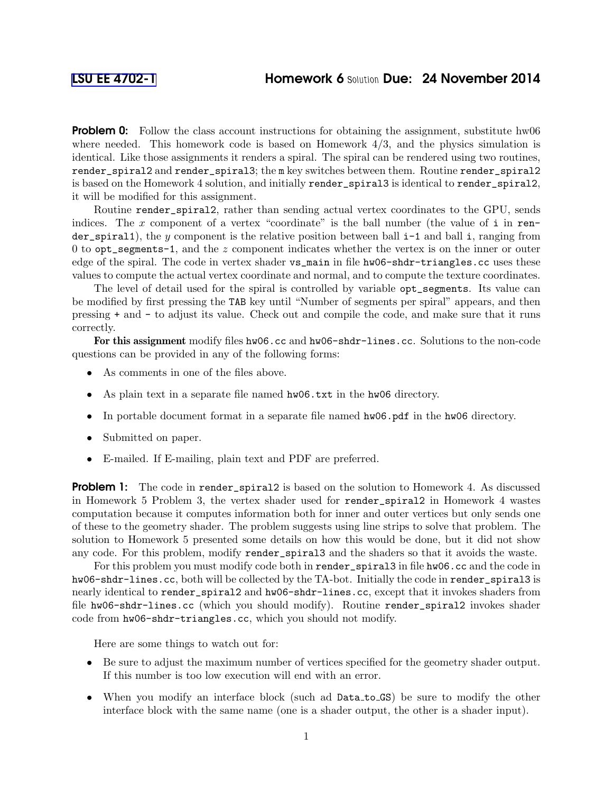**Problem 0:** Follow the class account instructions for obtaining the assignment, substitute hw06 where needed. This homework code is based on Homework  $4/3$ , and the physics simulation is identical. Like those assignments it renders a spiral. The spiral can be rendered using two routines, render\_spiral2 and render\_spiral3; the m key switches between them. Routine render\_spiral2 is based on the Homework 4 solution, and initially render\_spiral3 is identical to render\_spiral2, it will be modified for this assignment.

Routine render\_spiral2, rather than sending actual vertex coordinates to the GPU, sends indices. The  $x$  component of a vertex "coordinate" is the ball number (the value of i in render\_spiral1), the y component is the relative position between ball  $i-1$  and ball i, ranging from 0 to opt\_segments-1, and the z component indicates whether the vertex is on the inner or outer edge of the spiral. The code in vertex shader vs\_main in file hw06-shdr-triangles.cc uses these values to compute the actual vertex coordinate and normal, and to compute the texture coordinates.

The level of detail used for the spiral is controlled by variable opt\_segments. Its value can be modified by first pressing the TAB key until "Number of segments per spiral" appears, and then pressing + and - to adjust its value. Check out and compile the code, and make sure that it runs correctly.

For this assignment modify files hw06.cc and hw06-shdr-lines.cc. Solutions to the non-code questions can be provided in any of the following forms:

- As comments in one of the files above.
- As plain text in a separate file named hw06.txt in the hw06 directory.
- In portable document format in a separate file named  $h$ w06.pdf in the hw06 directory.
- Submitted on paper.
- E-mailed. If E-mailing, plain text and PDF are preferred.

**Problem 1:** The code in render\_spiral2 is based on the solution to Homework 4. As discussed in Homework 5 Problem 3, the vertex shader used for render\_spiral2 in Homework 4 wastes computation because it computes information both for inner and outer vertices but only sends one of these to the geometry shader. The problem suggests using line strips to solve that problem. The solution to Homework 5 presented some details on how this would be done, but it did not show any code. For this problem, modify render\_spiral3 and the shaders so that it avoids the waste.

For this problem you must modify code both in render\_spiral3 in file hw06.cc and the code in hw06-shdr-lines.cc, both will be collected by the TA-bot. Initially the code in render\_spiral3 is nearly identical to render\_spiral2 and hw06-shdr-lines.cc, except that it invokes shaders from file hw06-shdr-lines.cc (which you should modify). Routine render\_spiral2 invokes shader code from hw06-shdr-triangles.cc, which you should not modify.

Here are some things to watch out for:

- Be sure to adjust the maximum number of vertices specified for the geometry shader output. If this number is too low execution will end with an error.
- When you modify an interface block (such ad Data\_to\_GS) be sure to modify the other interface block with the same name (one is a shader output, the other is a shader input).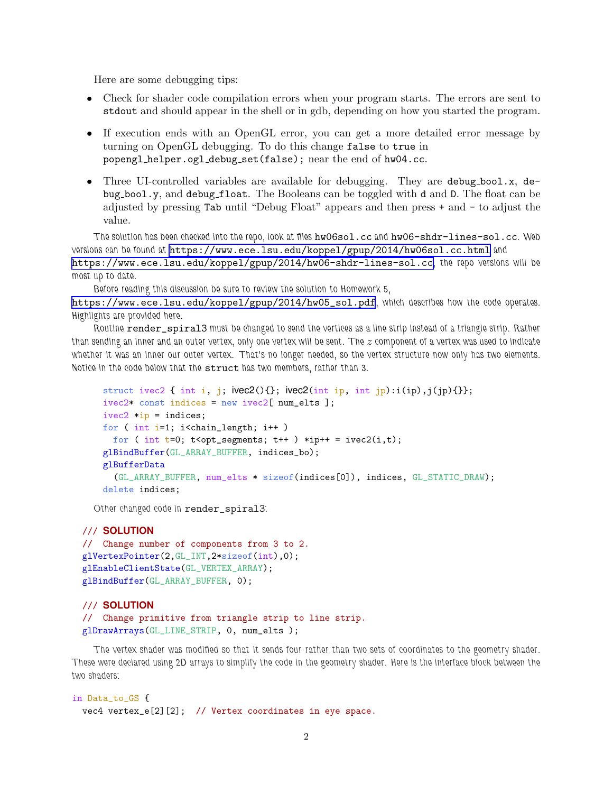Here are some debugging tips:

- Check for shader code compilation errors when your program starts. The errors are sent to stdout and should appear in the shell or in gdb, depending on how you started the program.
- If execution ends with an OpenGL error, you can get a more detailed error message by turning on OpenGL debugging. To do this change false to true in popengl helper.ogl debug set(false); near the end of hw04.cc.
- Three UI-controlled variables are available for debugging. They are debug bool.x, debug bool.y, and debug float. The Booleans can be toggled with d and D. The float can be adjusted by pressing Tab until "Debug Float" appears and then press + and - to adjust the value.

The solution has been checked into the repo, look at files hw06sol.cc and hw06-shdr-lines-sol.cc. Web versions can be found at <https://www.ece.lsu.edu/koppel/gpup/2014/hw06sol.cc.html> and <https://www.ece.lsu.edu/koppel/gpup/2014/hw06-shdr-lines-sol.cc>, the repo versions will be most up to date.

Before reading this discussion be sure to review the solution to Homework 5,

[https://www.ece.lsu.edu/koppel/gpup/2014/hw05\\_sol.pdf](https://www.ece.lsu.edu/koppel/gpup/2014/hw05_sol.pdf), which describes how the code operates. Highlights are provided here.

Routine render\_spiral3 must be changed to send the vertices as a line strip instead of a triangle strip. Rather than sending an inner and an outer vertex, only one vertex will be sent. The z component of a vertex was used to indicate whether it was an inner our outer vertex. That's no longer needed, so the vertex structure now only has two elements. Notice in the code below that the struct has two members, rather than 3.

```
struct ivec2 { int i, j; \text{ivec2}() {}; \text{ivec2}(\text{int ip}, \text{int ip}):i(\text{ip}), j(\text{jp})\{\}\};ivec2* const indices = new ivec2[ num_elts ];
ivec2 *ip = indices;for ( int i=1; i<chain_length; i++ )
  for ( int t=0; t<opt_segments; t++ ) *ip++ = ivec2(i,t);
glBindBuffer(GL_ARRAY_BUFFER, indices_bo);
glBufferData
  (GL_ARRAY_BUFFER, num_elts * sizeof(indices[0]), indices, GL_STATIC_DRAW);
delete indices;
```
Other changed code in render\_spiral3:

## /// **SOLUTION**

```
// Change number of components from 3 to 2.
glVertexPointer(2,GL_INT,2*sizeof(int),0);
glEnableClientState(GL_VERTEX_ARRAY);
glBindBuffer(GL_ARRAY_BUFFER, 0);
```
## /// **SOLUTION**

```
// Change primitive from triangle strip to line strip.
glDrawArrays(GL_LINE_STRIP, 0, num_elts );
```
The vertex shader was modified so that it sends four rather than two sets of coordinates to the geometry shader. These were declared using 2D arrays to simplify the code in the geometry shader. Here is the interface block between the two shaders:

```
in Data_to_GS {
 vec4 vertex_e[2][2]; // Vertex coordinates in eye space.
```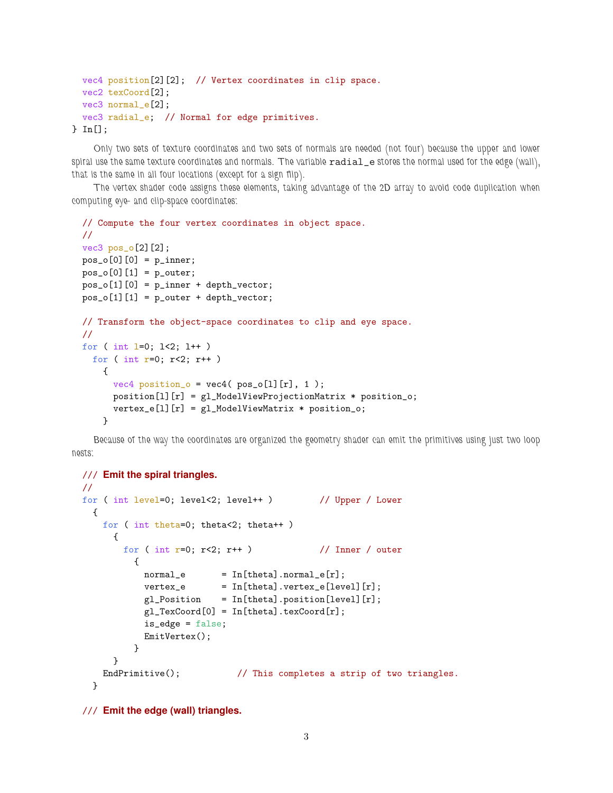```
vec4 position[2][2]; // Vertex coordinates in clip space.
 vec2 texCoord[2];
 vec3 normal_e[2];
 vec3 radial_e; // Normal for edge primitives.
} In[];
```
Only two sets of texture coordinates and two sets of normals are needed (not four) because the upper and lower spiral use the same texture coordinates and normals. The variable radial\_e stores the normal used for the edge (wall), that is the same in all four locations (except for a sign flip).

The vertex shader code assigns these elements, taking advantage of the 2D array to avoid code duplication when computing eye- and clip-space coordinates:

```
// Compute the four vertex coordinates in object space.
//
vec3 pos_o[2][2];
pos_0[0][0] = p_inner;pos_0[0][1] = p_outer;pos_o[1][0] = p_inner + depth_vector;pos_o[1][1] = p_outer + depth\_vector;// Transform the object-space coordinates to clip and eye space.
//
for ( int l=0; l<2; l++ )
 for ( int r=0; r<2; r++ )
   {
      vec4 position_o = vec4 ( pos_o[1][r], 1 );
      position[l][r] = gl_ModelViewProjectionMatrix * position_o;
      vertex_e[1][r] = g1_Mode1ViewMatrix * position_o;}
```
Because of the way the coordinates are organized the geometry shader can emit the primitives using just two loop nests:

```
/// Emit the spiral triangles.
//
for ( int level=0; level<2; level++ ) // Upper / Lower
 {
   for ( int theta=0; theta<2; theta++ )
     {
       for ( int r=0; r<2; r++ ) // Inner / outer
         {
           normal_e = In[theta].normal_e[r];
           vertex_e = In[theta].vertex_e[level][r];
           gl_Position = In[theta] . position[level] [r];gl_TexCoord[0] = In[theta].texCoord[r];
           is_edge = false;
           EmitVertex();
         }
     }
   EndPrimitive(); \frac{1}{2} This completes a strip of two triangles.
 }
```
/// **Emit the edge (wall) triangles.**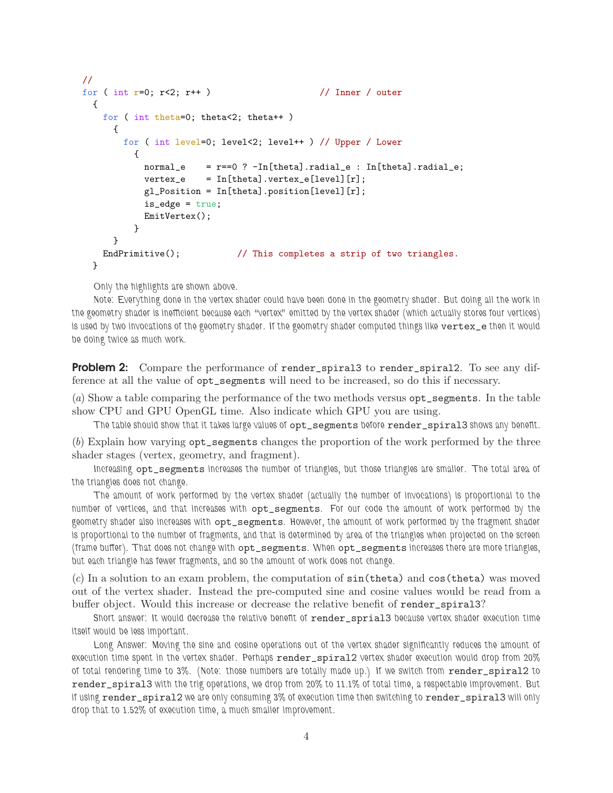```
//
for ( int r=0; r<2; r++ ) // Inner / outer
 {
   for ( int theta=0; theta<2; theta++ )
     {
       for ( int level=0; level<2; level++ ) // Upper / Lower
         {
           normal_e = r == 0 ? -In[theta].radial_e : In[theta].radial_e;vertex_e = In[theta].vertex_e[level][r];
           gl_Position = In[theta].position[level][r];
           is_edge = true;
           EmitVertex();
         }
     }
   EndPrimitive(); \frac{1}{2} // This completes a strip of two triangles.
 }
```
Only the highlights are shown above.

Note: Everything done in the vertex shader could have been done in the geometry shader. But doing all the work in the geometry shader is inefficient because each "vertex" emitted by the vertex shader (which actually stores four vertices) is used by two invocations of the geometry shader. If the geometry shader computed things like vertex\_e then it would be doing twice as much work.

**Problem 2:** Compare the performance of render\_spiral3 to render\_spiral2. To see any difference at all the value of opt\_segments will need to be increased, so do this if necessary.

(a) Show a table comparing the performance of the two methods versus opt\_segments. In the table show CPU and GPU OpenGL time. Also indicate which GPU you are using.

The table should show that it takes large values of  $opt\_segments$  before render\_spiral3 shows any benefit.

(b) Explain how varying opt\_segments changes the proportion of the work performed by the three shader stages (vertex, geometry, and fragment).

Increasing opt\_segments increases the number of triangles, but those triangles are smaller. The total area of the triangles does not change.

The amount of work performed by the vertex shader (actually the number of invocations) is proportional to the number of vertices, and that increases with opt\_segments. For our code the amount of work performed by the geometry shader also increases with opt\_segments. However, the amount of work performed by the fragment shader is proportional to the number of fragments, and that is determined by area of the triangles when projected on the screen (frame buffer). That does not change with opt\_segments. When opt\_segments increases there are more triangles, but each triangle has fewer fragments, and so the amount of work does not change.

 $(c)$  In a solution to an exam problem, the computation of  $sin(theta)$  and  $cos(theta)$  was moved out of the vertex shader. Instead the pre-computed sine and cosine values would be read from a buffer object. Would this increase or decrease the relative benefit of render\_spiral3?

Short answer: It would decrease the relative benefit of render\_sprial3 because vertex shader execution time itself would be less important.

Long Answer: Moving the sine and cosine operations out of the vertex shader significantly reduces the amount of execution time spent in the vertex shader. Perhaps render\_spiral2 vertex shader execution would drop from 20% of total rendering time to 3%. (Note: those numbers are totally made up.) If we switch from render\_spiral2 to render\_spiral3 with the trig operations, we drop from 20% to 11.1% of total time, a respectable improvement. But if using render\_spiral2 we are only consuming 3% of execution time then switching to render\_spiral3 will only drop that to 1.52% of execution time, a much smaller improvement.